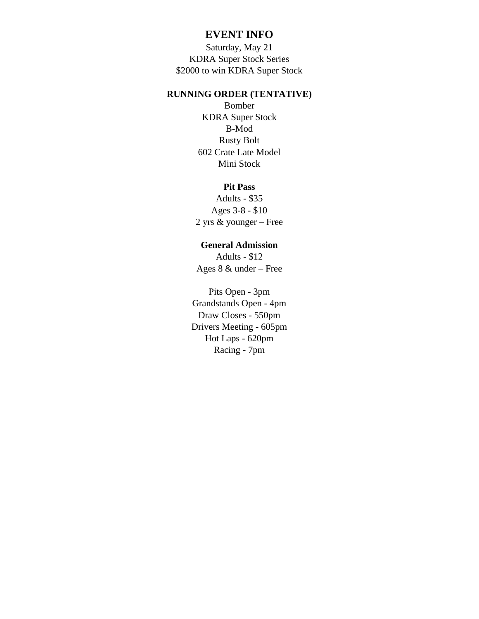## **EVENT INFO**

Saturday, May 21 KDRA Super Stock Series \$2000 to win KDRA Super Stock

## **RUNNING ORDER (TENTATIVE)**

Bomber KDRA Super Stock B-Mod Rusty Bolt 602 Crate Late Model Mini Stock

## **Pit Pass**

Adults - \$35 Ages 3-8 - \$10 2 yrs & younger – Free

## **General Admission**

Adults - \$12 Ages 8 & under – Free

Pits Open - 3pm Grandstands Open - 4pm Draw Closes - 550pm Drivers Meeting - 605pm Hot Laps - 620pm Racing - 7pm